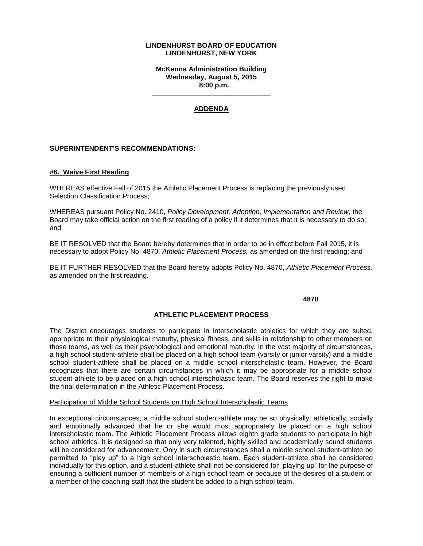## **LINDENHURST BOARD OF EDUCATION LINDENHURST, NEW YORK**

**McKenna Administration Building Wednesday, August 5, 2015 8:00 p.m.**

# **ADDENDA**

**\_\_\_\_\_\_\_\_\_\_\_\_\_\_\_\_\_\_\_\_\_\_\_\_\_\_\_\_\_\_\_**

## **SUPERINTENDENT'S RECOMMENDATIONS:**

## **#6. Waive First Reading**

WHEREAS effective Fall of 2015 the Athletic Placement Process is replacing the previously used Selection Classification Process;

WHEREAS pursuant Policy No. 2410, *Policy Development, Adoption, Implementation and Review*, the Board may take official action on the first reading of a policy if it determines that it is necessary to do so; and

BE IT RESOLVED that the Board hereby determines that in order to be in effect before Fall 2015, it is necessary to adopt Policy No. 4870, *Athletic Placement Process,* as amended on the first reading; and

BE IT FURTHER RESOLVED that the Board hereby adopts Policy No. 4870, *Athletic Placement Process,*  as amended on the first reading.

**4870**

#### **ATHLETIC PLACEMENT PROCESS**

The District encourages students to participate in interscholastic athletics for which they are suited, appropriate to their physiological maturity, physical fitness, and skills in relationship to other members on those teams, as well as their psychological and emotional maturity. In the vast majority of circumstances, a high school student-athlete shall be placed on a high school team (varsity or junior varsity) and a middle school student-athlete shall be placed on a middle school interscholastic team. However, the Board recognizes that there are certain circumstances in which it may be appropriate for a middle school student-athlete to be placed on a high school interscholastic team. The Board reserves the right to make the final determination in the Athletic Placement Process.

#### Participation of Middle School Students on High School Interscholastic Teams

In exceptional circumstances, a middle school student-athlete may be so physically, athletically, socially and emotionally advanced that he or she would most appropriately be placed on a high school interscholastic team. The Athletic Placement Process allows eighth grade students to participate in high school athletics. It is designed so that only very talented, highly skilled and academically sound students will be considered for advancement. Only in such circumstances shall a middle school student-athlete be permitted to "play up" to a high school interscholastic team. Each student-athlete shall be considered individually for this option, and a student-athlete shall not be considered for "playing up" for the purpose of ensuring a sufficient number of members of a high school team or because of the desires of a student or a member of the coaching staff that the student be added to a high school team.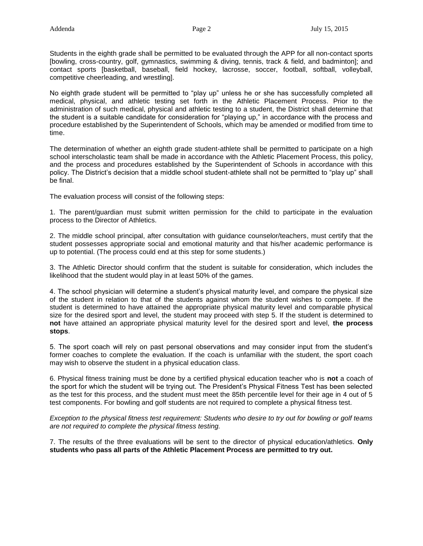Students in the eighth grade shall be permitted to be evaluated through the APP for all non-contact sports [bowling, cross-country, golf, gymnastics, swimming & diving, tennis, track & field, and badminton]; and contact sports [basketball, baseball, field hockey, lacrosse, soccer, football, softball, volleyball, competitive cheerleading, and wrestling].

No eighth grade student will be permitted to "play up" unless he or she has successfully completed all medical, physical, and athletic testing set forth in the Athletic Placement Process. Prior to the administration of such medical, physical and athletic testing to a student, the District shall determine that the student is a suitable candidate for consideration for "playing up," in accordance with the process and procedure established by the Superintendent of Schools, which may be amended or modified from time to time.

The determination of whether an eighth grade student-athlete shall be permitted to participate on a high school interscholastic team shall be made in accordance with the Athletic Placement Process, this policy, and the process and procedures established by the Superintendent of Schools in accordance with this policy. The District's decision that a middle school student-athlete shall not be permitted to "play up" shall be final.

The evaluation process will consist of the following steps:

1. The parent/guardian must submit written permission for the child to participate in the evaluation process to the Director of Athletics.

2. The middle school principal, after consultation with guidance counselor/teachers, must certify that the student possesses appropriate social and emotional maturity and that his/her academic performance is up to potential. (The process could end at this step for some students.)

3. The Athletic Director should confirm that the student is suitable for consideration, which includes the likelihood that the student would play in at least 50% of the games.

4. The school physician will determine a student's physical maturity level, and compare the physical size of the student in relation to that of the students against whom the student wishes to compete. If the student is determined to have attained the appropriate physical maturity level and comparable physical size for the desired sport and level, the student may proceed with step 5. If the student is determined to **not** have attained an appropriate physical maturity level for the desired sport and level, **the process stops**.

5. The sport coach will rely on past personal observations and may consider input from the student's former coaches to complete the evaluation. If the coach is unfamiliar with the student, the sport coach may wish to observe the student in a physical education class.

6. Physical fitness training must be done by a certified physical education teacher who is **not** a coach of the sport for which the student will be trying out. The President's Physical Fitness Test has been selected as the test for this process, and the student must meet the 85th percentile level for their age in 4 out of 5 test components. For bowling and golf students are not required to complete a physical fitness test.

*Exception to the physical fitness test requirement: Students who desire to try out for bowling or golf teams are not required to complete the physical fitness testing.* 

7. The results of the three evaluations will be sent to the director of physical education/athletics. **Only students who pass all parts of the Athletic Placement Process are permitted to try out.**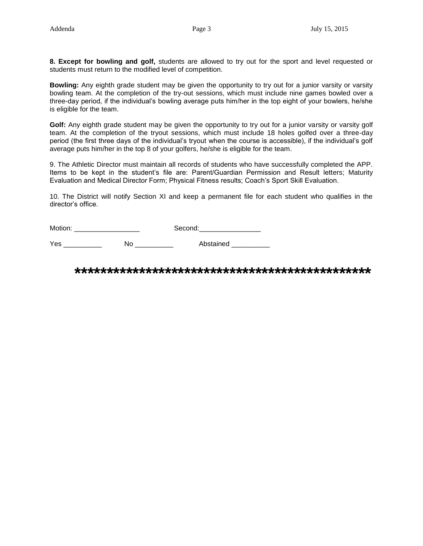**8. Except for bowling and golf,** students are allowed to try out for the sport and level requested or students must return to the modified level of competition.

**Bowling:** Any eighth grade student may be given the opportunity to try out for a junior varsity or varsity bowling team. At the completion of the try-out sessions, which must include nine games bowled over a three-day period, if the individual's bowling average puts him/her in the top eight of your bowlers, he/she is eligible for the team.

**Golf:** Any eighth grade student may be given the opportunity to try out for a junior varsity or varsity golf team. At the completion of the tryout sessions, which must include 18 holes golfed over a three-day period (the first three days of the individual's tryout when the course is accessible), if the individual's golf average puts him/her in the top 8 of your golfers, he/she is eligible for the team.

9. The Athletic Director must maintain all records of students who have successfully completed the APP. Items to be kept in the student's file are: Parent/Guardian Permission and Result letters; Maturity Evaluation and Medical Director Form; Physical Fitness results; Coach's Sport Skill Evaluation.

10. The District will notify Section XI and keep a permanent file for each student who qualifies in the director's office.

Motion: \_\_\_\_\_\_\_\_\_\_\_\_\_\_\_\_\_ Second:\_\_\_\_\_\_\_\_\_\_\_\_\_\_\_\_

Yes \_\_\_\_\_\_\_\_\_\_\_\_\_ No \_\_\_\_\_\_\_\_\_\_\_\_ Abstained \_\_\_

**\*\*\*\*\*\*\*\*\*\*\*\*\*\*\*\*\*\*\*\*\*\*\*\*\*\*\*\*\*\*\*\*\*\*\*\*\*\*\*\*\*\*\*\*\*\***